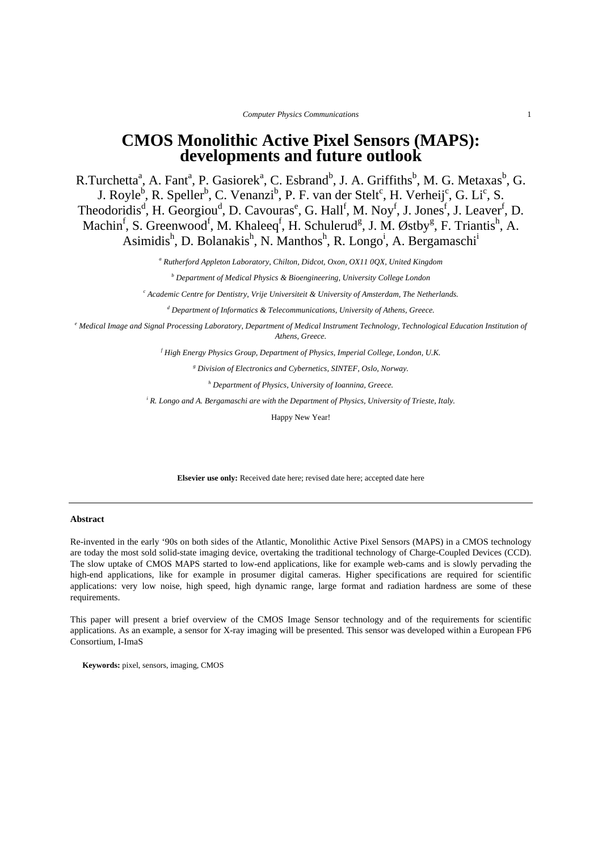*Computer Physics Communications* 1

# **CMOS Monolithic Active Pixel Sensors (MAPS): developments and future outlook**

R.Turchetta<sup>a</sup>, A. Fant<sup>a</sup>, P. Gasiorek<sup>a</sup>, C. Esbrand<sup>b</sup>, J. A. Griffiths<sup>b</sup>, M. G. Metaxas<sup>b</sup>, G. J. Royle<sup>b</sup>, R. Speller<sup>b</sup>, C. Venanzi<sup>b</sup>, P. F. van der Stelt<sup>c</sup>, H. Verheij<sup>c</sup>, G. Li<sup>c</sup>, S. Theodoridis<sup>d</sup>, H. Georgiou<sup>d</sup>, D. Cavouras<sup>e</sup>, G. Hall<sup>f</sup>, M. Noy<sup>f</sup>, J. Jones<sup>f</sup>, J. Leaver<sup>f</sup>, D. Machin<sup>f</sup>, S. Greenwood<sup>f</sup>, M. Khaleeq<sup>f</sup>, H. Schulerud<sup>g</sup>, J. M. Østby<sup>g</sup>, F. Triantis<sup>h</sup>, A. Asimidis<sup>h</sup>, D. Bolanakis<sup>h</sup>, N. Manthos<sup>h</sup>, R. Longo<sup>i</sup>, A. Bergamaschi<sup>i</sup>

<sup>a</sup> Rutherford Appleton Laboratory, Chilton, Didcot, Oxon, OX11 0QX, United Kingdom

*b Department of Medical Physics & Bioengineering, University College London* 

*c Academic Centre for Dentistry, Vrije Universiteit & University of Amsterdam, The Netherlands.* 

*d Department of Informatics & Telecommunications, University of Athens, Greece.* 

*e Medical Image and Signal Processing Laboratory, Department of Medical Instrument Technology, Technological Education Institution of Athens, Greece.* 

*f High Energy Physics Group, Department of Physics, Imperial College, London, U.K.* 

<sup>g</sup> Division of Electronics and Cybernetics, SINTEF, Oslo, Norway.

*h Department of Physics, University of Ioannina, Greece.* 

<sup>*i*</sup> R. Longo and A. Bergamaschi are with the Department of Physics, University of Trieste, Italy.

Happy New Year!

**Elsevier use only:** Received date here; revised date here; accepted date here

## **Abstract**

Re-invented in the early '90s on both sides of the Atlantic, Monolithic Active Pixel Sensors (MAPS) in a CMOS technology are today the most sold solid-state imaging device, overtaking the traditional technology of Charge-Coupled Devices (CCD). The slow uptake of CMOS MAPS started to low-end applications, like for example web-cams and is slowly pervading the high-end applications, like for example in prosumer digital cameras. Higher specifications are required for scientific applications: very low noise, high speed, high dynamic range, large format and radiation hardness are some of these requirements.

This paper will present a brief overview of the CMOS Image Sensor technology and of the requirements for scientific applications. As an example, a sensor for X-ray imaging will be presented. This sensor was developed within a European FP6 Consortium, I-ImaS

**Keywords:** pixel, sensors, imaging, CMOS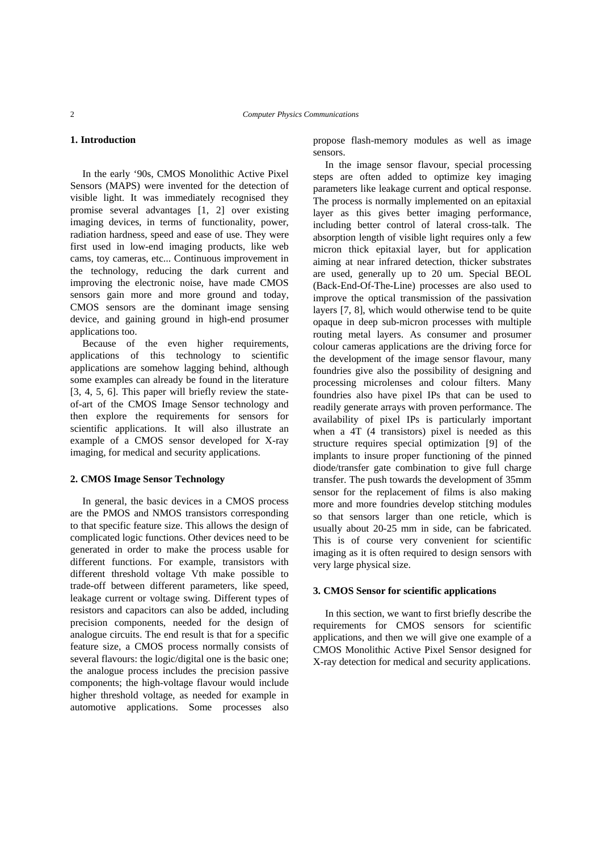## **1. Introduction**

In the early '90s, CMOS Monolithic Active Pixel Sensors (MAPS) were invented for the detection of visible light. It was immediately recognised they promise several advantages [1, 2] over existing imaging devices, in terms of functionality, power, radiation hardness, speed and ease of use. They were first used in low-end imaging products, like web cams, toy cameras, etc... Continuous improvement in the technology, reducing the dark current and improving the electronic noise, have made CMOS sensors gain more and more ground and today, CMOS sensors are the dominant image sensing device, and gaining ground in high-end prosumer applications too.

Because of the even higher requirements, applications of this technology to scientific applications are somehow lagging behind, although some examples can already be found in the literature [3, 4, 5, 6]. This paper will briefly review the stateof-art of the CMOS Image Sensor technology and then explore the requirements for sensors for scientific applications. It will also illustrate an example of a CMOS sensor developed for X-ray imaging, for medical and security applications.

## **2. CMOS Image Sensor Technology**

In general, the basic devices in a CMOS process are the PMOS and NMOS transistors corresponding to that specific feature size. This allows the design of complicated logic functions. Other devices need to be generated in order to make the process usable for different functions. For example, transistors with different threshold voltage Vth make possible to trade-off between different parameters, like speed, leakage current or voltage swing. Different types of resistors and capacitors can also be added, including precision components, needed for the design of analogue circuits. The end result is that for a specific feature size, a CMOS process normally consists of several flavours: the logic/digital one is the basic one; the analogue process includes the precision passive components; the high-voltage flavour would include higher threshold voltage, as needed for example in automotive applications. Some processes also

propose flash-memory modules as well as image sensors.

In the image sensor flavour, special processing steps are often added to optimize key imaging parameters like leakage current and optical response. The process is normally implemented on an epitaxial layer as this gives better imaging performance, including better control of lateral cross-talk. The absorption length of visible light requires only a few micron thick epitaxial layer, but for application aiming at near infrared detection, thicker substrates are used, generally up to 20 um. Special BEOL (Back-End-Of-The-Line) processes are also used to improve the optical transmission of the passivation layers [7, 8], which would otherwise tend to be quite opaque in deep sub-micron processes with multiple routing metal layers. As consumer and prosumer colour cameras applications are the driving force for the development of the image sensor flavour, many foundries give also the possibility of designing and processing microlenses and colour filters. Many foundries also have pixel IPs that can be used to readily generate arrays with proven performance. The availability of pixel IPs is particularly important when a 4T (4 transistors) pixel is needed as this structure requires special optimization [9] of the implants to insure proper functioning of the pinned diode/transfer gate combination to give full charge transfer. The push towards the development of 35mm sensor for the replacement of films is also making more and more foundries develop stitching modules so that sensors larger than one reticle, which is usually about 20-25 mm in side, can be fabricated. This is of course very convenient for scientific imaging as it is often required to design sensors with very large physical size.

# **3. CMOS Sensor for scientific applications**

In this section, we want to first briefly describe the requirements for CMOS sensors for scientific applications, and then we will give one example of a CMOS Monolithic Active Pixel Sensor designed for X-ray detection for medical and security applications.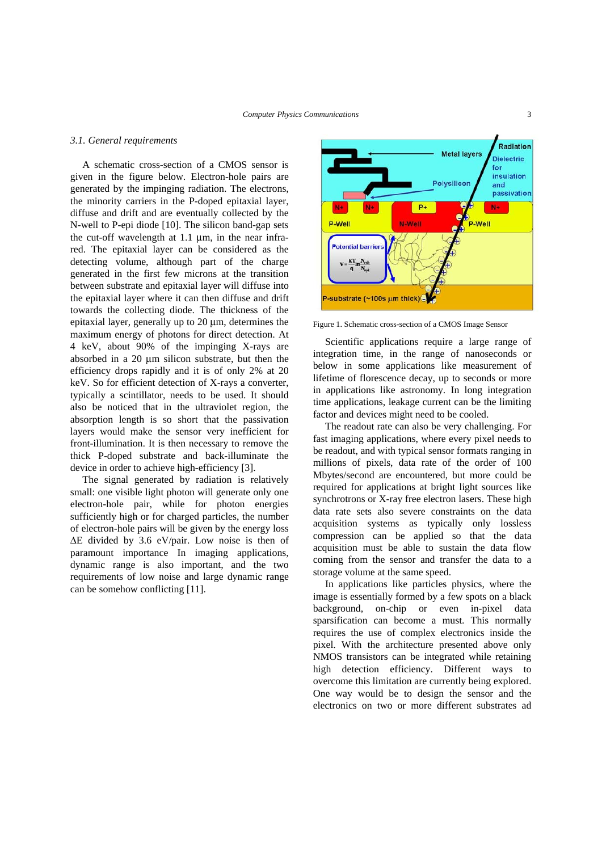#### *3.1. General requirements*

A schematic cross-section of a CMOS sensor is given in the figure below. Electron-hole pairs are generated by the impinging radiation. The electrons, the minority carriers in the P-doped epitaxial layer, diffuse and drift and are eventually collected by the N-well to P-epi diode [10]. The silicon band-gap sets the cut-off wavelength at 1.1 μm, in the near infrared. The epitaxial layer can be considered as the detecting volume, although part of the charge generated in the first few microns at the transition between substrate and epitaxial layer will diffuse into the epitaxial layer where it can then diffuse and drift towards the collecting diode. The thickness of the epitaxial layer, generally up to 20 μm, determines the maximum energy of photons for direct detection. At 4 keV, about 90% of the impinging X-rays are absorbed in a 20 μm silicon substrate, but then the efficiency drops rapidly and it is of only 2% at 20 keV. So for efficient detection of X-rays a converter, typically a scintillator, needs to be used. It should also be noticed that in the ultraviolet region, the absorption length is so short that the passivation layers would make the sensor very inefficient for front-illumination. It is then necessary to remove the thick P-doped substrate and back-illuminate the device in order to achieve high-efficiency [3].

The signal generated by radiation is relatively small: one visible light photon will generate only one electron-hole pair, while for photon energies sufficiently high or for charged particles, the number of electron-hole pairs will be given by the energy loss ΔE divided by 3.6 eV/pair. Low noise is then of paramount importance In imaging applications, dynamic range is also important, and the two requirements of low noise and large dynamic range can be somehow conflicting [11].



Figure 1. Schematic cross-section of a CMOS Image Sensor

Scientific applications require a large range of integration time, in the range of nanoseconds or below in some applications like measurement of lifetime of florescence decay, up to seconds or more in applications like astronomy. In long integration time applications, leakage current can be the limiting factor and devices might need to be cooled.

The readout rate can also be very challenging. For fast imaging applications, where every pixel needs to be readout, and with typical sensor formats ranging in millions of pixels, data rate of the order of 100 Mbytes/second are encountered, but more could be required for applications at bright light sources like synchrotrons or X-ray free electron lasers. These high data rate sets also severe constraints on the data acquisition systems as typically only lossless compression can be applied so that the data acquisition must be able to sustain the data flow coming from the sensor and transfer the data to a storage volume at the same speed.

In applications like particles physics, where the image is essentially formed by a few spots on a black background, on-chip or even in-pixel data sparsification can become a must. This normally requires the use of complex electronics inside the pixel. With the architecture presented above only NMOS transistors can be integrated while retaining high detection efficiency. Different ways to overcome this limitation are currently being explored. One way would be to design the sensor and the electronics on two or more different substrates ad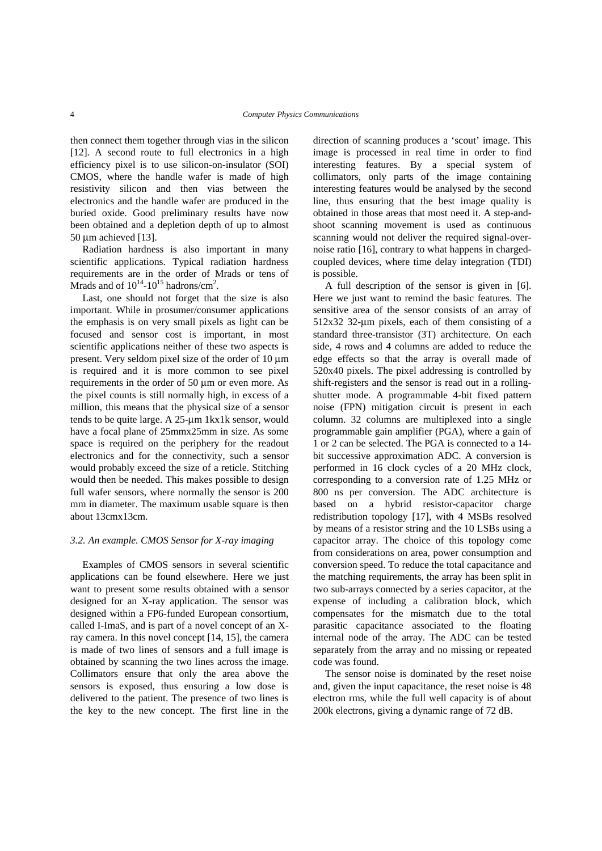then connect them together through vias in the silicon [12]. A second route to full electronics in a high efficiency pixel is to use silicon-on-insulator (SOI) CMOS, where the handle wafer is made of high resistivity silicon and then vias between the electronics and the handle wafer are produced in the buried oxide. Good preliminary results have now been obtained and a depletion depth of up to almost 50 μm achieved [13].

Radiation hardness is also important in many scientific applications. Typical radiation hardness requirements are in the order of Mrads or tens of Mrads and of  $10^{14}$ - $10^{15}$  hadrons/cm<sup>2</sup>.

Last, one should not forget that the size is also important. While in prosumer/consumer applications the emphasis is on very small pixels as light can be focused and sensor cost is important, in most scientific applications neither of these two aspects is present. Very seldom pixel size of the order of 10 μm is required and it is more common to see pixel requirements in the order of 50 μm or even more. As the pixel counts is still normally high, in excess of a million, this means that the physical size of a sensor tends to be quite large. A 25-μm 1kx1k sensor, would have a focal plane of 25mmx25mm in size. As some space is required on the periphery for the readout electronics and for the connectivity, such a sensor would probably exceed the size of a reticle. Stitching would then be needed. This makes possible to design full wafer sensors, where normally the sensor is 200 mm in diameter. The maximum usable square is then about 13cmx13cm.

## *3.2. An example. CMOS Sensor for X-ray imaging*

Examples of CMOS sensors in several scientific applications can be found elsewhere. Here we just want to present some results obtained with a sensor designed for an X-ray application. The sensor was designed within a FP6-funded European consortium, called I-ImaS, and is part of a novel concept of an Xray camera. In this novel concept [14, 15], the camera is made of two lines of sensors and a full image is obtained by scanning the two lines across the image. Collimators ensure that only the area above the sensors is exposed, thus ensuring a low dose is delivered to the patient. The presence of two lines is the key to the new concept. The first line in the

direction of scanning produces a 'scout' image. This image is processed in real time in order to find interesting features. By a special system of collimators, only parts of the image containing interesting features would be analysed by the second line, thus ensuring that the best image quality is obtained in those areas that most need it. A step-andshoot scanning movement is used as continuous scanning would not deliver the required signal-overnoise ratio [16], contrary to what happens in chargedcoupled devices, where time delay integration (TDI) is possible.

A full description of the sensor is given in [6]. Here we just want to remind the basic features. The sensitive area of the sensor consists of an array of 512x32 32-μm pixels, each of them consisting of a standard three-transistor (3T) architecture. On each side, 4 rows and 4 columns are added to reduce the edge effects so that the array is overall made of 520x40 pixels. The pixel addressing is controlled by shift-registers and the sensor is read out in a rollingshutter mode. A programmable 4-bit fixed pattern noise (FPN) mitigation circuit is present in each column. 32 columns are multiplexed into a single programmable gain amplifier (PGA), where a gain of 1 or 2 can be selected. The PGA is connected to a 14 bit successive approximation ADC. A conversion is performed in 16 clock cycles of a 20 MHz clock, corresponding to a conversion rate of 1.25 MHz or 800 ns per conversion. The ADC architecture is based on a hybrid resistor-capacitor charge redistribution topology [17], with 4 MSBs resolved by means of a resistor string and the 10 LSBs using a capacitor array. The choice of this topology come from considerations on area, power consumption and conversion speed. To reduce the total capacitance and the matching requirements, the array has been split in two sub-arrays connected by a series capacitor, at the expense of including a calibration block, which compensates for the mismatch due to the total parasitic capacitance associated to the floating internal node of the array. The ADC can be tested separately from the array and no missing or repeated code was found.

The sensor noise is dominated by the reset noise and, given the input capacitance, the reset noise is 48 electron rms, while the full well capacity is of about 200k electrons, giving a dynamic range of 72 dB.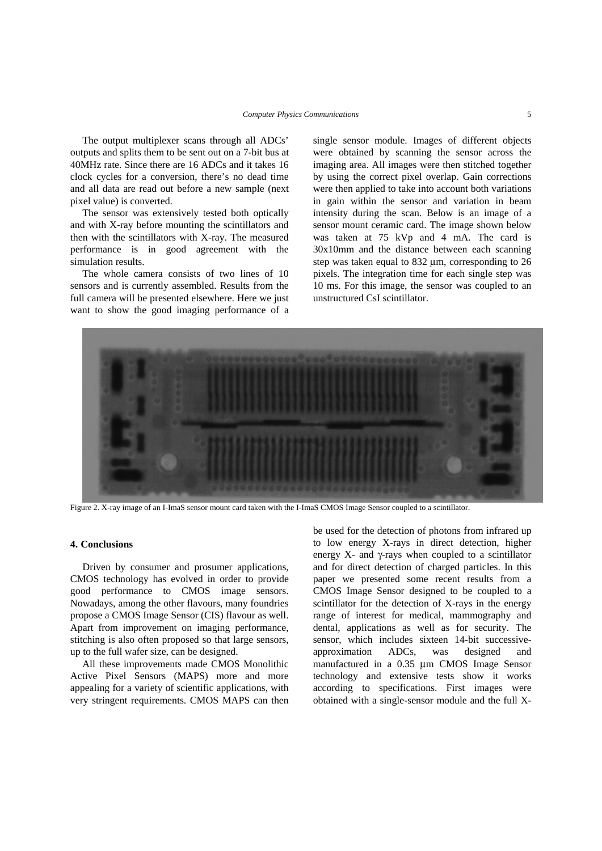The output multiplexer scans through all ADCs' outputs and splits them to be sent out on a 7-bit bus at 40MHz rate. Since there are 16 ADCs and it takes 16 clock cycles for a conversion, there's no dead time and all data are read out before a new sample (next pixel value) is converted.

The sensor was extensively tested both optically and with X-ray before mounting the scintillators and then with the scintillators with X-ray. The measured performance is in good agreement with the simulation results.

The whole camera consists of two lines of 10 sensors and is currently assembled. Results from the full camera will be presented elsewhere. Here we just want to show the good imaging performance of a single sensor module. Images of different objects were obtained by scanning the sensor across the imaging area. All images were then stitched together by using the correct pixel overlap. Gain corrections were then applied to take into account both variations in gain within the sensor and variation in beam intensity during the scan. Below is an image of a sensor mount ceramic card. The image shown below was taken at 75 kVp and 4 mA. The card is 30x10mm and the distance between each scanning step was taken equal to 832 μm, corresponding to 26 pixels. The integration time for each single step was 10 ms. For this image, the sensor was coupled to an unstructured CsI scintillator.



Figure 2. X-ray image of an I-ImaS sensor mount card taken with the I-ImaS CMOS Image Sensor coupled to a scintillator.

#### **4. Conclusions**

Driven by consumer and prosumer applications, CMOS technology has evolved in order to provide good performance to CMOS image sensors. Nowadays, among the other flavours, many foundries propose a CMOS Image Sensor (CIS) flavour as well. Apart from improvement on imaging performance, stitching is also often proposed so that large sensors, up to the full wafer size, can be designed.

All these improvements made CMOS Monolithic Active Pixel Sensors (MAPS) more and more appealing for a variety of scientific applications, with very stringent requirements. CMOS MAPS can then

be used for the detection of photons from infrared up to low energy X-rays in direct detection, higher energy X- and  $\gamma$ -rays when coupled to a scintillator and for direct detection of charged particles. In this paper we presented some recent results from a CMOS Image Sensor designed to be coupled to a scintillator for the detection of X-rays in the energy range of interest for medical, mammography and dental, applications as well as for security. The sensor, which includes sixteen 14-bit successiveapproximation ADCs, was designed and manufactured in a 0.35 μm CMOS Image Sensor technology and extensive tests show it works according to specifications. First images were obtained with a single-sensor module and the full X-